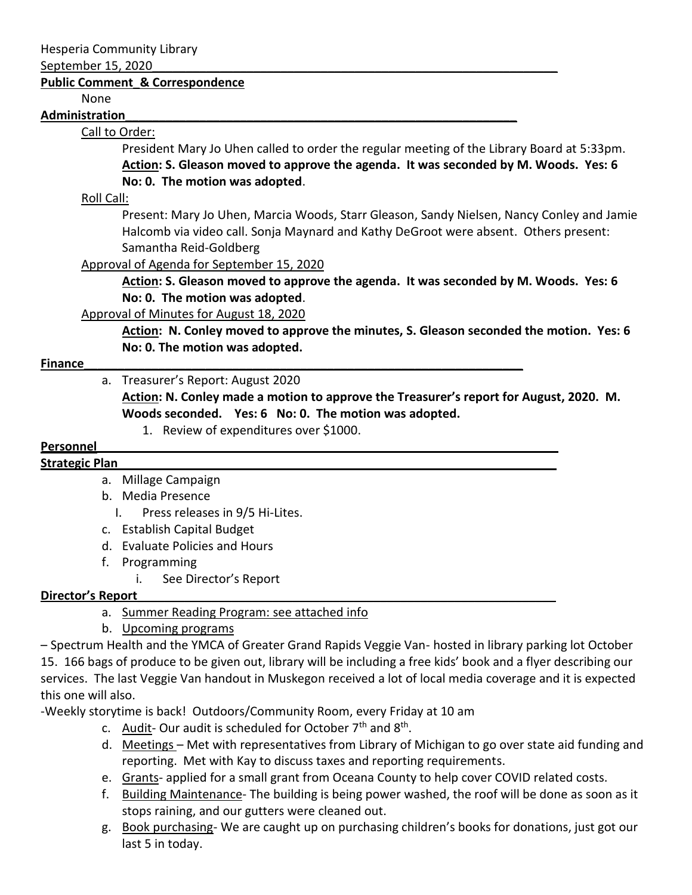#### September 15, 2020\_\_\_\_\_\_\_\_\_\_\_\_\_\_\_\_\_\_\_\_\_\_\_\_\_\_\_\_\_\_\_\_\_\_\_\_\_\_\_\_\_\_\_\_\_\_\_\_\_\_\_\_\_\_\_\_\_\_\_\_

#### **Public Comment\_& Correspondence**

None

#### **Administration\_\_\_\_\_\_\_\_\_\_\_\_\_\_\_\_\_\_\_\_\_\_\_\_\_\_\_\_\_\_\_\_\_\_\_\_\_\_\_\_\_\_\_\_\_\_\_\_\_\_\_\_\_\_\_\_\_\_**

## Call to Order:

President Mary Jo Uhen called to order the regular meeting of the Library Board at 5:33pm. **Action: S. Gleason moved to approve the agenda. It was seconded by M. Woods. Yes: 6 No: 0. The motion was adopted**.

### Roll Call:

Present: Mary Jo Uhen, Marcia Woods, Starr Gleason, Sandy Nielsen, Nancy Conley and Jamie Halcomb via video call. Sonja Maynard and Kathy DeGroot were absent. Others present: Samantha Reid-Goldberg

Approval of Agenda for September 15, 2020

**Action: S. Gleason moved to approve the agenda. It was seconded by M. Woods. Yes: 6 No: 0. The motion was adopted**.

### Approval of Minutes for August 18, 2020

**Action: N. Conley moved to approve the minutes, S. Gleason seconded the motion. Yes: 6 No: 0. The motion was adopted.**

### **Finance Example 20 and 20 and 20 and 20 and 20 and 20 and 20 and 20 and 20 and 20 and 20 and 20 and 20 and 20 and 20 and 20 and 20 and 20 and 20 and 20 and 20 and 20 and 20 and 20 and 20 and 20 and 20 and 20 and 20 and**

a. Treasurer's Report: August 2020

**Action: N. Conley made a motion to approve the Treasurer's report for August, 2020. M. Woods seconded. Yes: 6 No: 0. The motion was adopted.**

1. Review of expenditures over \$1000.

#### **Personnel**

#### **Strategic Plan\_\_\_\_\_\_\_\_\_\_\_\_\_\_\_\_\_\_\_\_\_\_\_\_\_\_\_\_\_\_\_\_\_\_\_\_\_\_\_\_\_\_\_\_\_\_\_\_\_\_\_\_\_\_\_\_\_\_\_\_\_\_\_\_\_**

- a. Millage Campaign
- b. Media Presence
	- I. Press releases in 9/5 Hi-Lites.
- c. Establish Capital Budget
- d. Evaluate Policies and Hours
- f. Programming
	- i. See Director's Report

# **Director's Report\_\_\_\_\_\_\_\_\_\_\_\_\_\_\_\_\_\_\_\_\_\_\_\_\_\_\_\_\_\_\_\_\_\_\_\_\_\_\_\_\_\_\_\_\_\_\_\_\_\_\_\_\_\_\_\_\_\_\_\_\_\_**

a. Summer Reading Program: see attached info

b. Upcoming programs

– Spectrum Health and the YMCA of Greater Grand Rapids Veggie Van- hosted in library parking lot October 15. 166 bags of produce to be given out, library will be including a free kids' book and a flyer describing our services. The last Veggie Van handout in Muskegon received a lot of local media coverage and it is expected this one will also.

-Weekly storytime is back! Outdoors/Community Room, every Friday at 10 am

- c. Audit-Our audit is scheduled for October 7<sup>th</sup> and 8<sup>th</sup>.
- d. Meetings Met with representatives from Library of Michigan to go over state aid funding and reporting. Met with Kay to discuss taxes and reporting requirements.
- e. Grants- applied for a small grant from Oceana County to help cover COVID related costs.
- f. Building Maintenance- The building is being power washed, the roof will be done as soon as it stops raining, and our gutters were cleaned out.
- g. Book purchasing- We are caught up on purchasing children's books for donations, just got our last 5 in today.